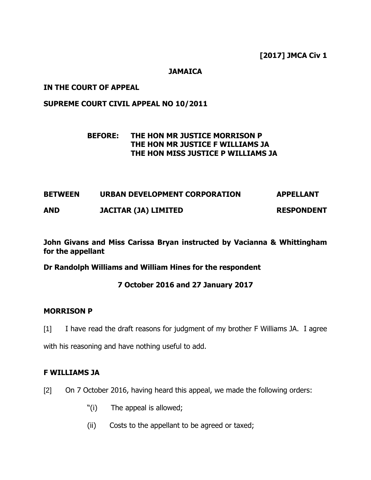### **JAMAICA**

### **IN THE COURT OF APPEAL**

### **SUPREME COURT CIVIL APPEAL NO 10/2011**

# **BEFORE: THE HON MR JUSTICE MORRISON P THE HON MR JUSTICE F WILLIAMS JA THE HON MISS JUSTICE P WILLIAMS JA**

| <b>BETWEEN</b> | URBAN DEVELOPMENT CORPORATION | <b>APPELLANT</b>  |
|----------------|-------------------------------|-------------------|
| <b>AND</b>     | <b>JACITAR (JA) LIMITED</b>   | <b>RESPONDENT</b> |

**John Givans and Miss Carissa Bryan instructed by Vacianna & Whittingham for the appellant** 

**Dr Randolph Williams and William Hines for the respondent**

# **7 October 2016 and 27 January 2017**

### **MORRISON P**

[1] I have read the draft reasons for judgment of my brother F Williams JA. I agree with his reasoning and have nothing useful to add.

# **F WILLIAMS JA**

[2] On 7 October 2016, having heard this appeal, we made the following orders:

- "(i) The appeal is allowed;
- (ii) Costs to the appellant to be agreed or taxed;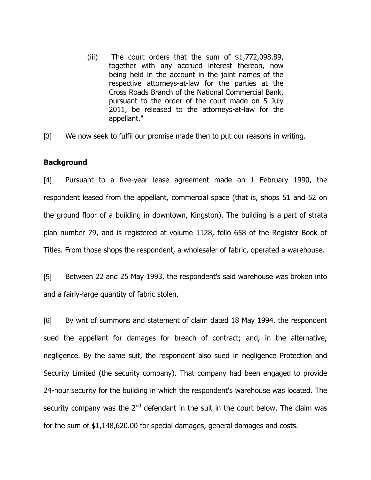(iii) The court orders that the sum of \$1,772,098.89, together with any accrued interest thereon, now being held in the account in the joint names of the respective attorneys-at-law for the parties at the Cross Roads Branch of the National Commercial Bank, pursuant to the order of the court made on 5 July 2011, be released to the attorneys-at-law for the appellant."

[3] We now seek to fulfil our promise made then to put our reasons in writing.

### **Background**

[4] Pursuant to a five-year lease agreement made on 1 February 1990, the respondent leased from the appellant, commercial space (that is, shops 51 and 52 on the ground floor of a building in downtown, Kingston). The building is a part of strata plan number 79, and is registered at volume 1128, folio 658 of the Register Book of Titles. From those shops the respondent, a wholesaler of fabric, operated a warehouse.

[5] Between 22 and 25 May 1993, the respondent's said warehouse was broken into and a fairly-large quantity of fabric stolen.

[6] By writ of summons and statement of claim dated 18 May 1994, the respondent sued the appellant for damages for breach of contract; and, in the alternative, negligence. By the same suit, the respondent also sued in negligence Protection and Security Limited (the security company). That company had been engaged to provide 24-hour security for the building in which the respondent's warehouse was located. The security company was the  $2<sup>nd</sup>$  defendant in the suit in the court below. The claim was for the sum of \$1,148,620.00 for special damages, general damages and costs.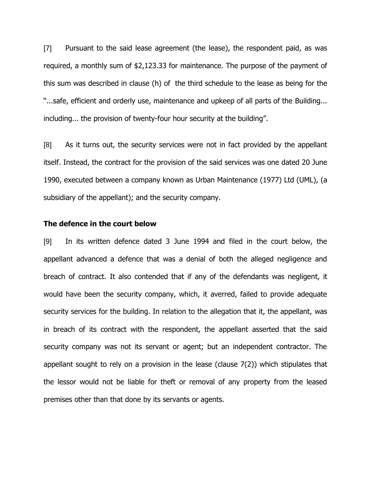[7] Pursuant to the said lease agreement (the lease), the respondent paid, as was required, a monthly sum of \$2,123.33 for maintenance. The purpose of the payment of this sum was described in clause (h) of the third schedule to the lease as being for the "...safe, efficient and orderly use, maintenance and upkeep of all parts of the Building... including... the provision of twenty-four hour security at the building".

[8] As it turns out, the security services were not in fact provided by the appellant itself. Instead, the contract for the provision of the said services was one dated 20 June 1990, executed between a company known as Urban Maintenance (1977) Ltd (UML), (a subsidiary of the appellant); and the security company.

#### **The defence in the court below**

[9] In its written defence dated 3 June 1994 and filed in the court below, the appellant advanced a defence that was a denial of both the alleged negligence and breach of contract. It also contended that if any of the defendants was negligent, it would have been the security company, which, it averred, failed to provide adequate security services for the building. In relation to the allegation that it, the appellant, was in breach of its contract with the respondent, the appellant asserted that the said security company was not its servant or agent; but an independent contractor. The appellant sought to rely on a provision in the lease (clause 7(2)) which stipulates that the lessor would not be liable for theft or removal of any property from the leased premises other than that done by its servants or agents.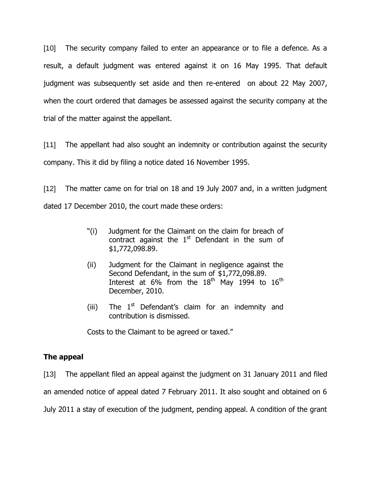[10] The security company failed to enter an appearance or to file a defence. As a result, a default judgment was entered against it on 16 May 1995. That default judgment was subsequently set aside and then re-entered on about 22 May 2007, when the court ordered that damages be assessed against the security company at the trial of the matter against the appellant.

[11] The appellant had also sought an indemnity or contribution against the security company. This it did by filing a notice dated 16 November 1995.

[12] The matter came on for trial on 18 and 19 July 2007 and, in a written judgment dated 17 December 2010, the court made these orders:

- "(i) Judgment for the Claimant on the claim for breach of contract against the  $1<sup>st</sup>$  Defendant in the sum of \$1,772,098.89.
- (ii) Judgment for the Claimant in negligence against the Second Defendant, in the sum of \$1,772,098.89. Interest at 6% from the  $18<sup>th</sup>$  May 1994 to  $16<sup>th</sup>$ December, 2010.
- (iii) The  $1<sup>st</sup>$  Defendant's claim for an indemnity and contribution is dismissed.

Costs to the Claimant to be agreed or taxed."

# **The appeal**

[13] The appellant filed an appeal against the judgment on 31 January 2011 and filed an amended notice of appeal dated 7 February 2011. It also sought and obtained on 6 July 2011 a stay of execution of the judgment, pending appeal. A condition of the grant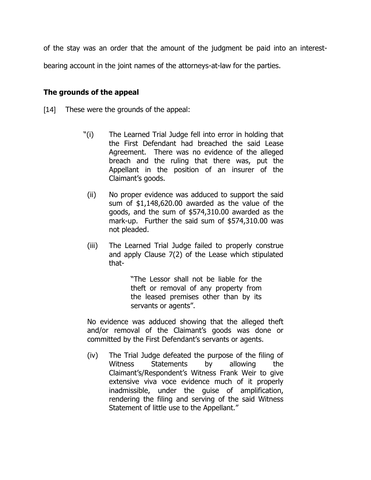of the stay was an order that the amount of the judgment be paid into an interest-

bearing account in the joint names of the attorneys-at-law for the parties.

## **The grounds of the appeal**

[14] These were the grounds of the appeal:

- "(i) The Learned Trial Judge fell into error in holding that the First Defendant had breached the said Lease Agreement. There was no evidence of the alleged breach and the ruling that there was, put the Appellant in the position of an insurer of the Claimant's goods.
- (ii) No proper evidence was adduced to support the said sum of \$1,148,620.00 awarded as the value of the goods, and the sum of \$574,310.00 awarded as the mark-up. Further the said sum of \$574,310.00 was not pleaded.
- (iii) The Learned Trial Judge failed to properly construe and apply Clause 7(2) of the Lease which stipulated that-

"The Lessor shall not be liable for the theft or removal of any property from the leased premises other than by its servants or agents".

No evidence was adduced showing that the alleged theft and/or removal of the Claimant"s goods was done or committed by the First Defendant's servants or agents.

(iv) The Trial Judge defeated the purpose of the filing of Witness Statements by allowing the Claimant"s/Respondent"s Witness Frank Weir to give extensive viva voce evidence much of it properly inadmissible, under the guise of amplification, rendering the filing and serving of the said Witness Statement of little use to the Appellant."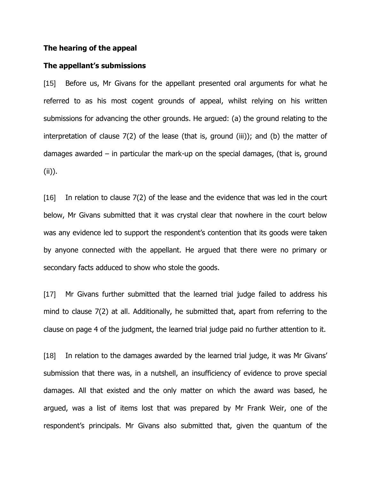#### **The hearing of the appeal**

#### **The appellant's submissions**

[15] Before us, Mr Givans for the appellant presented oral arguments for what he referred to as his most cogent grounds of appeal, whilst relying on his written submissions for advancing the other grounds. He argued: (a) the ground relating to the interpretation of clause 7(2) of the lease (that is, ground (iii)); and (b) the matter of damages awarded – in particular the mark-up on the special damages, (that is, ground (ii)).

[16] In relation to clause 7(2) of the lease and the evidence that was led in the court below, Mr Givans submitted that it was crystal clear that nowhere in the court below was any evidence led to support the respondent's contention that its goods were taken by anyone connected with the appellant. He argued that there were no primary or secondary facts adduced to show who stole the goods.

[17] Mr Givans further submitted that the learned trial judge failed to address his mind to clause 7(2) at all. Additionally, he submitted that, apart from referring to the clause on page 4 of the judgment, the learned trial judge paid no further attention to it.

[18] In relation to the damages awarded by the learned trial judge, it was Mr Givans' submission that there was, in a nutshell, an insufficiency of evidence to prove special damages. All that existed and the only matter on which the award was based, he argued, was a list of items lost that was prepared by Mr Frank Weir, one of the respondent"s principals. Mr Givans also submitted that, given the quantum of the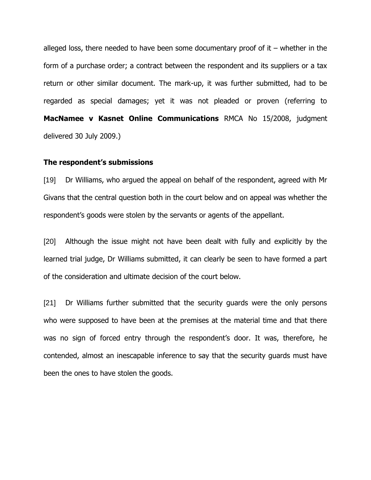alleged loss, there needed to have been some documentary proof of  $it$  – whether in the form of a purchase order; a contract between the respondent and its suppliers or a tax return or other similar document. The mark-up, it was further submitted, had to be regarded as special damages; yet it was not pleaded or proven (referring to **MacNamee v Kasnet Online Communications** RMCA No 15/2008, judgment delivered 30 July 2009.)

#### **The respondent's submissions**

[19] Dr Williams, who argued the appeal on behalf of the respondent, agreed with Mr Givans that the central question both in the court below and on appeal was whether the respondent"s goods were stolen by the servants or agents of the appellant.

[20] Although the issue might not have been dealt with fully and explicitly by the learned trial judge, Dr Williams submitted, it can clearly be seen to have formed a part of the consideration and ultimate decision of the court below.

[21] Dr Williams further submitted that the security guards were the only persons who were supposed to have been at the premises at the material time and that there was no sign of forced entry through the respondent's door. It was, therefore, he contended, almost an inescapable inference to say that the security guards must have been the ones to have stolen the goods.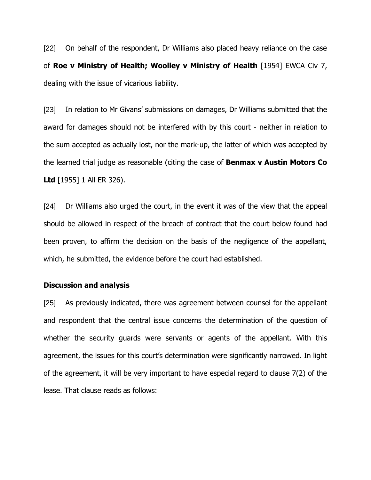[22] On behalf of the respondent, Dr Williams also placed heavy reliance on the case of **Roe v Ministry of Health; Woolley v Ministry of Health** [1954] EWCA Civ 7, dealing with the issue of vicarious liability.

[23] In relation to Mr Givans' submissions on damages, Dr Williams submitted that the award for damages should not be interfered with by this court - neither in relation to the sum accepted as actually lost, nor the mark-up, the latter of which was accepted by the learned trial judge as reasonable (citing the case of **Benmax v Austin Motors Co Ltd** [1955] 1 All ER 326).

[24] Dr Williams also urged the court, in the event it was of the view that the appeal should be allowed in respect of the breach of contract that the court below found had been proven, to affirm the decision on the basis of the negligence of the appellant, which, he submitted, the evidence before the court had established.

#### **Discussion and analysis**

[25] As previously indicated, there was agreement between counsel for the appellant and respondent that the central issue concerns the determination of the question of whether the security guards were servants or agents of the appellant. With this agreement, the issues for this court"s determination were significantly narrowed. In light of the agreement, it will be very important to have especial regard to clause 7(2) of the lease. That clause reads as follows: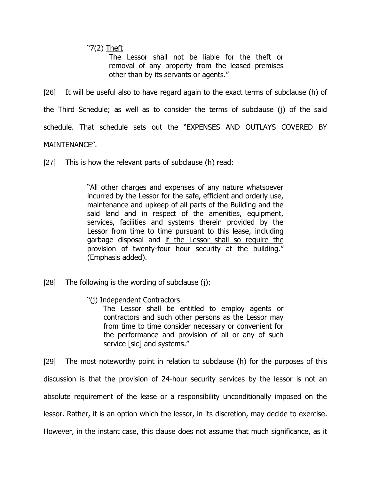"7(2) Theft

The Lessor shall not be liable for the theft or removal of any property from the leased premises other than by its servants or agents."

[26] It will be useful also to have regard again to the exact terms of subclause (h) of the Third Schedule; as well as to consider the terms of subclause (j) of the said schedule. That schedule sets out the "EXPENSES AND OUTLAYS COVERED BY MAINTENANCE".

[27] This is how the relevant parts of subclause (h) read:

"All other charges and expenses of any nature whatsoever incurred by the Lessor for the safe, efficient and orderly use, maintenance and upkeep of all parts of the Building and the said land and in respect of the amenities, equipment, services, facilities and systems therein provided by the Lessor from time to time pursuant to this lease, including garbage disposal and if the Lessor shall so require the provision of twenty-four hour security at the building." (Emphasis added).

- [28] The following is the wording of subclause  $(i)$ :
	- "(j) Independent Contractors

 The Lessor shall be entitled to employ agents or contractors and such other persons as the Lessor may from time to time consider necessary or convenient for the performance and provision of all or any of such service [sic] and systems."

[29] The most noteworthy point in relation to subclause (h) for the purposes of this discussion is that the provision of 24-hour security services by the lessor is not an absolute requirement of the lease or a responsibility unconditionally imposed on the lessor. Rather, it is an option which the lessor, in its discretion, may decide to exercise. However, in the instant case, this clause does not assume that much significance, as it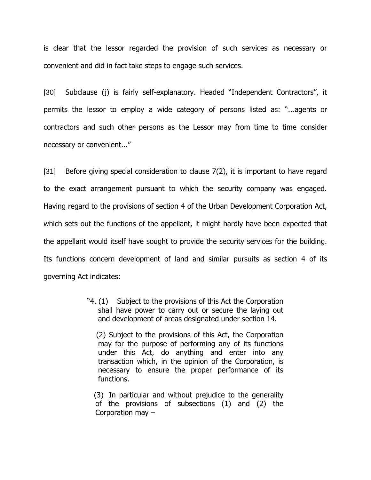is clear that the lessor regarded the provision of such services as necessary or convenient and did in fact take steps to engage such services.

[30] Subclause (j) is fairly self-explanatory. Headed "Independent Contractors", it permits the lessor to employ a wide category of persons listed as: "...agents or contractors and such other persons as the Lessor may from time to time consider necessary or convenient..."

[31] Before giving special consideration to clause 7(2), it is important to have regard to the exact arrangement pursuant to which the security company was engaged. Having regard to the provisions of section 4 of the Urban Development Corporation Act, which sets out the functions of the appellant, it might hardly have been expected that the appellant would itself have sought to provide the security services for the building. Its functions concern development of land and similar pursuits as section 4 of its governing Act indicates:

> "4. (1) Subject to the provisions of this Act the Corporation shall have power to carry out or secure the laying out and development of areas designated under section 14.

 (2) Subject to the provisions of this Act, the Corporation may for the purpose of performing any of its functions under this Act, do anything and enter into any transaction which, in the opinion of the Corporation, is necessary to ensure the proper performance of its functions.

 (3) In particular and without prejudice to the generality of the provisions of subsections (1) and (2) the Corporation may –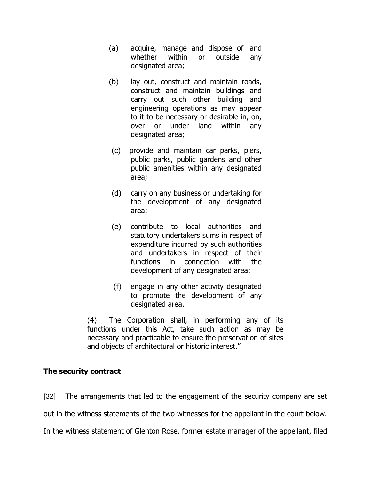- (a) acquire, manage and dispose of land whether within or outside any designated area;
- (b) lay out, construct and maintain roads, construct and maintain buildings and carry out such other building and engineering operations as may appear to it to be necessary or desirable in, on, over or under land within any designated area;
- (c) provide and maintain car parks, piers, public parks, public gardens and other public amenities within any designated area;
- (d) carry on any business or undertaking for the development of any designated area;
- (e) contribute to local authorities and statutory undertakers sums in respect of expenditure incurred by such authorities and undertakers in respect of their functions in connection with the development of any designated area;
- (f) engage in any other activity designated to promote the development of any designated area.

(4) The Corporation shall, in performing any of its functions under this Act, take such action as may be necessary and practicable to ensure the preservation of sites and objects of architectural or historic interest."

# **The security contract**

[32] The arrangements that led to the engagement of the security company are set

out in the witness statements of the two witnesses for the appellant in the court below.

In the witness statement of Glenton Rose, former estate manager of the appellant, filed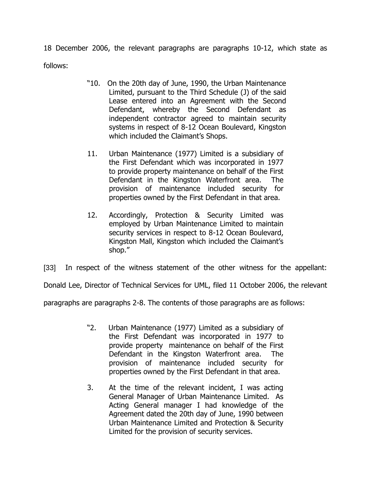18 December 2006, the relevant paragraphs are paragraphs 10-12, which state as follows:

- "10. On the 20th day of June, 1990, the Urban Maintenance Limited, pursuant to the Third Schedule (J) of the said Lease entered into an Agreement with the Second Defendant, whereby the Second Defendant as independent contractor agreed to maintain security systems in respect of 8-12 Ocean Boulevard, Kingston which included the Claimant's Shops.
- 11. Urban Maintenance (1977) Limited is a subsidiary of the First Defendant which was incorporated in 1977 to provide property maintenance on behalf of the First Defendant in the Kingston Waterfront area. The provision of maintenance included security for properties owned by the First Defendant in that area.
- 12. Accordingly, Protection & Security Limited was employed by Urban Maintenance Limited to maintain security services in respect to 8-12 Ocean Boulevard, Kingston Mall, Kingston which included the Claimant"s shop."

[33] In respect of the witness statement of the other witness for the appellant:

Donald Lee, Director of Technical Services for UML, filed 11 October 2006, the relevant

paragraphs are paragraphs 2-8. The contents of those paragraphs are as follows:

- "2. Urban Maintenance (1977) Limited as a subsidiary of the First Defendant was incorporated in 1977 to provide property maintenance on behalf of the First Defendant in the Kingston Waterfront area. The provision of maintenance included security for properties owned by the First Defendant in that area.
- 3. At the time of the relevant incident, I was acting General Manager of Urban Maintenance Limited. As Acting General manager I had knowledge of the Agreement dated the 20th day of June, 1990 between Urban Maintenance Limited and Protection & Security Limited for the provision of security services.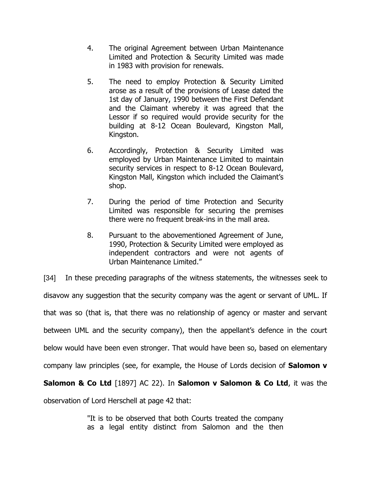- 4. The original Agreement between Urban Maintenance Limited and Protection & Security Limited was made in 1983 with provision for renewals.
- 5. The need to employ Protection & Security Limited arose as a result of the provisions of Lease dated the 1st day of January, 1990 between the First Defendant and the Claimant whereby it was agreed that the Lessor if so required would provide security for the building at 8-12 Ocean Boulevard, Kingston Mall, Kingston.
- 6. Accordingly, Protection & Security Limited was employed by Urban Maintenance Limited to maintain security services in respect to 8-12 Ocean Boulevard, Kingston Mall, Kingston which included the Claimant"s shop.
- 7. During the period of time Protection and Security Limited was responsible for securing the premises there were no frequent break-ins in the mall area.
- 8. Pursuant to the abovementioned Agreement of June, 1990, Protection & Security Limited were employed as independent contractors and were not agents of Urban Maintenance Limited."

[34] In these preceding paragraphs of the witness statements, the witnesses seek to disavow any suggestion that the security company was the agent or servant of UML. If that was so (that is, that there was no relationship of agency or master and servant between UML and the security company), then the appellant's defence in the court below would have been even stronger. That would have been so, based on elementary company law principles (see, for example, the House of Lords decision of **Salomon v Salomon & Co Ltd** [1897] AC 22). In **Salomon v Salomon & Co Ltd**, it was the

observation of Lord Herschell at page 42 that:

"It is to be observed that both Courts treated the company as a legal entity distinct from Salomon and the then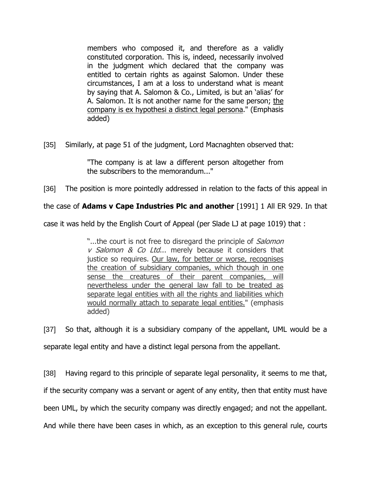members who composed it, and therefore as a validly constituted corporation. This is, indeed, necessarily involved in the judgment which declared that the company was entitled to certain rights as against Salomon. Under these circumstances, I am at a loss to understand what is meant by saying that A. Salomon & Co., Limited, is but an "alias" for A. Salomon. It is not another name for the same person; the company is ex hypothesi a distinct legal persona." (Emphasis added)

[35] Similarly, at page 51 of the judgment, Lord Macnaghten observed that:

"The company is at law a different person altogether from the subscribers to the memorandum..."

[36] The position is more pointedly addressed in relation to the facts of this appeal in

the case of **Adams v Cape Industries Plc and another** [1991] 1 All ER 929. In that

case it was held by the English Court of Appeal (per Slade LJ at page 1019) that :

"...the court is not free to disregard the principle of *Salomon*  $v$  Salomon & Co Ltd... merely because it considers that justice so requires. Our law, for better or worse, recognises the creation of subsidiary companies, which though in one sense the creatures of their parent companies, will nevertheless under the general law fall to be treated as separate legal entities with all the rights and liabilities which would normally attach to separate legal entities." (emphasis added)

[37] So that, although it is a subsidiary company of the appellant, UML would be a separate legal entity and have a distinct legal persona from the appellant.

[38] Having regard to this principle of separate legal personality, it seems to me that, if the security company was a servant or agent of any entity, then that entity must have been UML, by which the security company was directly engaged; and not the appellant. And while there have been cases in which, as an exception to this general rule, courts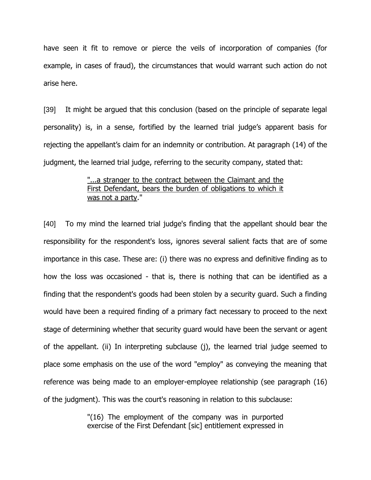have seen it fit to remove or pierce the veils of incorporation of companies (for example, in cases of fraud), the circumstances that would warrant such action do not arise here.

[39] It might be argued that this conclusion (based on the principle of separate legal personality) is, in a sense, fortified by the learned trial judge"s apparent basis for rejecting the appellant's claim for an indemnity or contribution. At paragraph (14) of the judgment, the learned trial judge, referring to the security company, stated that:

### "...a stranger to the contract between the Claimant and the First Defendant, bears the burden of obligations to which it was not a party."

[40] To my mind the learned trial judge's finding that the appellant should bear the responsibility for the respondent's loss, ignores several salient facts that are of some importance in this case. These are: (i) there was no express and definitive finding as to how the loss was occasioned - that is, there is nothing that can be identified as a finding that the respondent's goods had been stolen by a security guard. Such a finding would have been a required finding of a primary fact necessary to proceed to the next stage of determining whether that security guard would have been the servant or agent of the appellant. (ii) In interpreting subclause (j), the learned trial judge seemed to place some emphasis on the use of the word "employ" as conveying the meaning that reference was being made to an employer-employee relationship (see paragraph (16) of the judgment). This was the court's reasoning in relation to this subclause:

> "(16) The employment of the company was in purported exercise of the First Defendant [sic] entitlement expressed in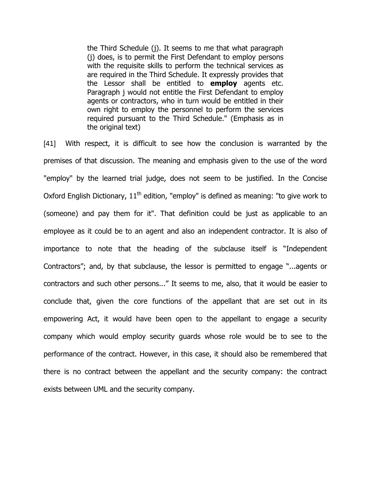the Third Schedule (j). It seems to me that what paragraph (j) does, is to permit the First Defendant to employ persons with the requisite skills to perform the technical services as are required in the Third Schedule. It expressly provides that the Lessor shall be entitled to **employ** agents etc. Paragraph j would not entitle the First Defendant to employ agents or contractors, who in turn would be entitled in their own right to employ the personnel to perform the services required pursuant to the Third Schedule." (Emphasis as in the original text)

[41] With respect, it is difficult to see how the conclusion is warranted by the premises of that discussion. The meaning and emphasis given to the use of the word "employ" by the learned trial judge, does not seem to be justified. In the Concise Oxford English Dictionary,  $11<sup>th</sup>$  edition, "employ" is defined as meaning: "to give work to (someone) and pay them for it". That definition could be just as applicable to an employee as it could be to an agent and also an independent contractor. It is also of importance to note that the heading of the subclause itself is "Independent Contractors"; and, by that subclause, the lessor is permitted to engage "...agents or contractors and such other persons..." It seems to me, also, that it would be easier to conclude that, given the core functions of the appellant that are set out in its empowering Act, it would have been open to the appellant to engage a security company which would employ security guards whose role would be to see to the performance of the contract. However, in this case, it should also be remembered that there is no contract between the appellant and the security company: the contract exists between UML and the security company.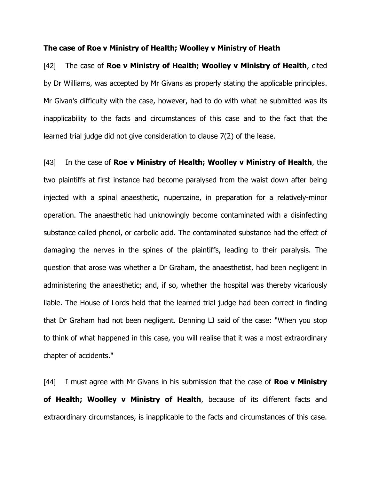#### **The case of Roe v Ministry of Health; Woolley v Ministry of Heath**

[42] The case of **Roe v Ministry of Health; Woolley v Ministry of Health**, cited by Dr Williams, was accepted by Mr Givans as properly stating the applicable principles. Mr Givan's difficulty with the case, however, had to do with what he submitted was its inapplicability to the facts and circumstances of this case and to the fact that the learned trial judge did not give consideration to clause 7(2) of the lease.

[43] In the case of **Roe v Ministry of Health; Woolley v Ministry of Health**, the two plaintiffs at first instance had become paralysed from the waist down after being injected with a spinal anaesthetic, nupercaine, in preparation for a relatively-minor operation. The anaesthetic had unknowingly become contaminated with a disinfecting substance called phenol, or carbolic acid. The contaminated substance had the effect of damaging the nerves in the spines of the plaintiffs, leading to their paralysis. The question that arose was whether a Dr Graham, the anaesthetist, had been negligent in administering the anaesthetic; and, if so, whether the hospital was thereby vicariously liable. The House of Lords held that the learned trial judge had been correct in finding that Dr Graham had not been negligent. Denning LJ said of the case: "When you stop to think of what happened in this case, you will realise that it was a most extraordinary chapter of accidents."

[44] I must agree with Mr Givans in his submission that the case of **Roe v Ministry of Health; Woolley v Ministry of Health**, because of its different facts and extraordinary circumstances, is inapplicable to the facts and circumstances of this case.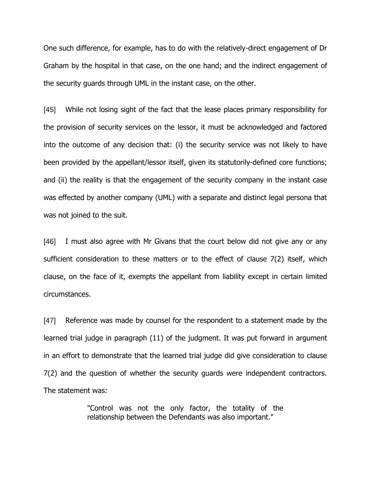One such difference, for example, has to do with the relatively-direct engagement of Dr Graham by the hospital in that case, on the one hand; and the indirect engagement of the security guards through UML in the instant case, on the other.

[45] While not losing sight of the fact that the lease places primary responsibility for the provision of security services on the lessor, it must be acknowledged and factored into the outcome of any decision that: (i) the security service was not likely to have been provided by the appellant/lessor itself, given its statutorily-defined core functions; and (ii) the reality is that the engagement of the security company in the instant case was effected by another company (UML) with a separate and distinct legal persona that was not joined to the suit.

[46] I must also agree with Mr Givans that the court below did not give any or any sufficient consideration to these matters or to the effect of clause 7(2) itself, which clause, on the face of it, exempts the appellant from liability except in certain limited circumstances.

[47] Reference was made by counsel for the respondent to a statement made by the learned trial judge in paragraph (11) of the judgment. It was put forward in argument in an effort to demonstrate that the learned trial judge did give consideration to clause 7(2) and the question of whether the security guards were independent contractors. The statement was:

> "Control was not the only factor, the totality of the relationship between the Defendants was also important."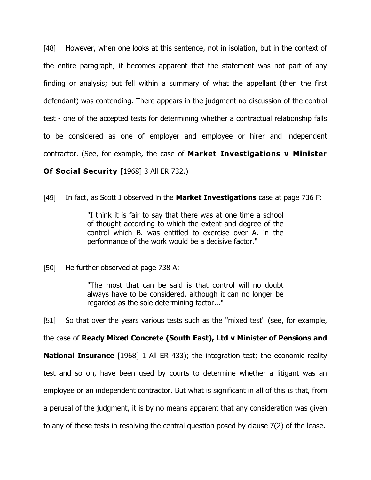[48] However, when one looks at this sentence, not in isolation, but in the context of the entire paragraph, it becomes apparent that the statement was not part of any finding or analysis; but fell within a summary of what the appellant (then the first defendant) was contending. There appears in the judgment no discussion of the control test - one of the accepted tests for determining whether a contractual relationship falls to be considered as one of employer and employee or hirer and independent contractor. (See, for example, the case of **Market Investigations v Minister Of Social Security** [1968] 3 All ER 732.)

[49] In fact, as Scott J observed in the **Market Investigations** case at page 736 F:

"I think it is fair to say that there was at one time a school of thought according to which the extent and degree of the control which B. was entitled to exercise over A. in the performance of the work would be a decisive factor."

[50] He further observed at page 738 A:

"The most that can be said is that control will no doubt always have to be considered, although it can no longer be regarded as the sole determining factor..."

[51] So that over the years various tests such as the "mixed test" (see, for example,

the case of **Ready Mixed Concrete (South East), Ltd v Minister of Pensions and** 

**National Insurance** [1968] 1 All ER 433); the integration test; the economic reality test and so on, have been used by courts to determine whether a litigant was an employee or an independent contractor. But what is significant in all of this is that, from a perusal of the judgment, it is by no means apparent that any consideration was given to any of these tests in resolving the central question posed by clause 7(2) of the lease.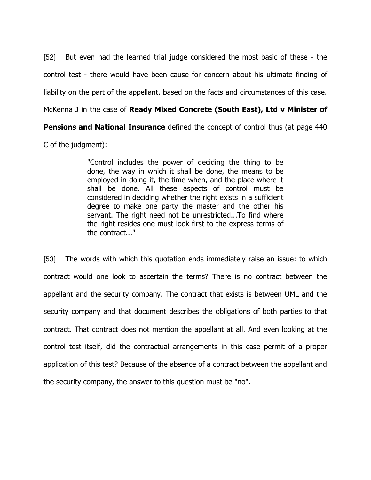[52] But even had the learned trial judge considered the most basic of these - the control test - there would have been cause for concern about his ultimate finding of liability on the part of the appellant, based on the facts and circumstances of this case. McKenna J in the case of **Ready Mixed Concrete (South East), Ltd v Minister of** 

**Pensions and National Insurance** defined the concept of control thus (at page 440

C of the judgment):

"Control includes the power of deciding the thing to be done, the way in which it shall be done, the means to be employed in doing it, the time when, and the place where it shall be done. All these aspects of control must be considered in deciding whether the right exists in a sufficient degree to make one party the master and the other his servant. The right need not be unrestricted...To find where the right resides one must look first to the express terms of the contract..."

[53] The words with which this quotation ends immediately raise an issue: to which contract would one look to ascertain the terms? There is no contract between the appellant and the security company. The contract that exists is between UML and the security company and that document describes the obligations of both parties to that contract. That contract does not mention the appellant at all. And even looking at the control test itself, did the contractual arrangements in this case permit of a proper application of this test? Because of the absence of a contract between the appellant and the security company, the answer to this question must be "no".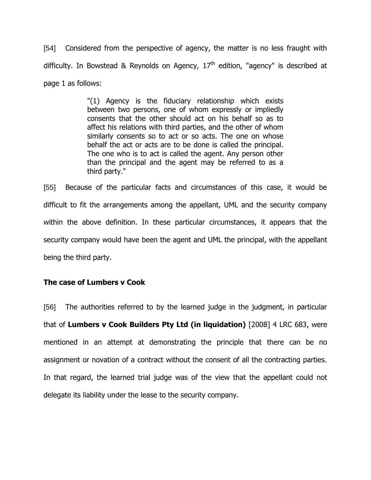[54] Considered from the perspective of agency, the matter is no less fraught with difficulty. In Bowstead & Reynolds on Agency,  $17<sup>th</sup>$  edition, "agency" is described at page 1 as follows:

> "(1) Agency is the fiduciary relationship which exists between two persons, one of whom expressly or impliedly consents that the other should act on his behalf so as to affect his relations with third parties, and the other of whom similarly consents so to act or so acts. The one on whose behalf the act or acts are to be done is called the principal. The one who is to act is called the agent. Any person other than the principal and the agent may be referred to as a third party."

[55] Because of the particular facts and circumstances of this case, it would be difficult to fit the arrangements among the appellant, UML and the security company within the above definition. In these particular circumstances, it appears that the security company would have been the agent and UML the principal, with the appellant being the third party.

# **The case of Lumbers v Cook**

[56] The authorities referred to by the learned judge in the judgment, in particular that of **Lumbers v Cook Builders Pty Ltd (in liquidation)** [2008] 4 LRC 683, were mentioned in an attempt at demonstrating the principle that there can be no assignment or novation of a contract without the consent of all the contracting parties. In that regard, the learned trial judge was of the view that the appellant could not delegate its liability under the lease to the security company.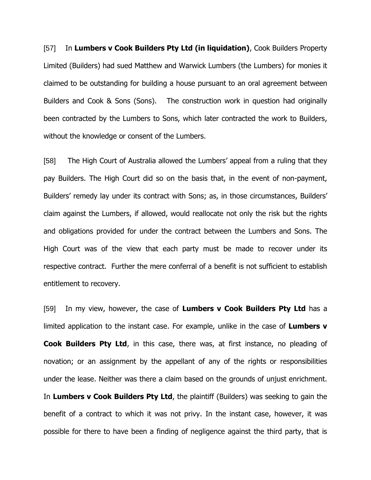[57] In **Lumbers v Cook Builders Pty Ltd (in liquidation)**, Cook Builders Property Limited (Builders) had sued Matthew and Warwick Lumbers (the Lumbers) for monies it claimed to be outstanding for building a house pursuant to an oral agreement between Builders and Cook & Sons (Sons). The construction work in question had originally been contracted by the Lumbers to Sons, which later contracted the work to Builders, without the knowledge or consent of the Lumbers.

[58] The High Court of Australia allowed the Lumbers" appeal from a ruling that they pay Builders. The High Court did so on the basis that, in the event of non-payment, Builders' remedy lay under its contract with Sons; as, in those circumstances, Builders' claim against the Lumbers, if allowed, would reallocate not only the risk but the rights and obligations provided for under the contract between the Lumbers and Sons. The High Court was of the view that each party must be made to recover under its respective contract. Further the mere conferral of a benefit is not sufficient to establish entitlement to recovery.

[59] In my view, however, the case of **Lumbers v Cook Builders Pty Ltd** has a limited application to the instant case. For example, unlike in the case of **Lumbers v Cook Builders Pty Ltd**, in this case, there was, at first instance, no pleading of novation; or an assignment by the appellant of any of the rights or responsibilities under the lease. Neither was there a claim based on the grounds of unjust enrichment. In **Lumbers v Cook Builders Pty Ltd**, the plaintiff (Builders) was seeking to gain the benefit of a contract to which it was not privy. In the instant case, however, it was possible for there to have been a finding of negligence against the third party, that is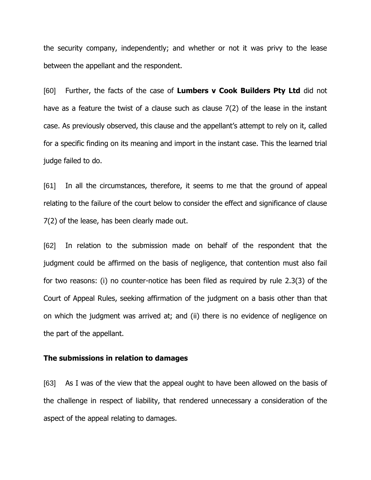the security company, independently; and whether or not it was privy to the lease between the appellant and the respondent.

[60] Further, the facts of the case of **Lumbers v Cook Builders Pty Ltd** did not have as a feature the twist of a clause such as clause 7(2) of the lease in the instant case. As previously observed, this clause and the appellant"s attempt to rely on it, called for a specific finding on its meaning and import in the instant case. This the learned trial judge failed to do.

[61] In all the circumstances, therefore, it seems to me that the ground of appeal relating to the failure of the court below to consider the effect and significance of clause 7(2) of the lease, has been clearly made out.

[62] In relation to the submission made on behalf of the respondent that the judgment could be affirmed on the basis of negligence, that contention must also fail for two reasons: (i) no counter-notice has been filed as required by rule 2.3(3) of the Court of Appeal Rules, seeking affirmation of the judgment on a basis other than that on which the judgment was arrived at; and (ii) there is no evidence of negligence on the part of the appellant.

#### **The submissions in relation to damages**

[63] As I was of the view that the appeal ought to have been allowed on the basis of the challenge in respect of liability, that rendered unnecessary a consideration of the aspect of the appeal relating to damages.